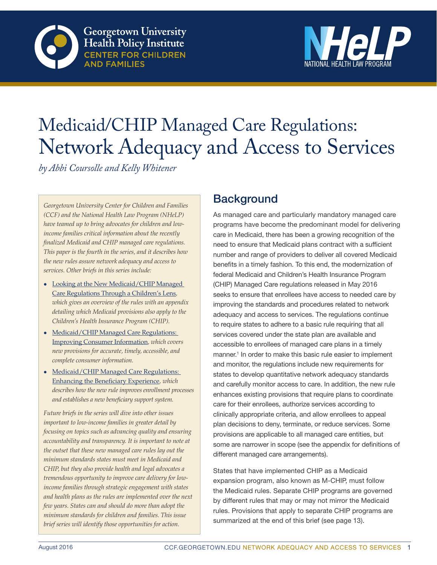



# Medicaid/CHIP Managed Care Regulations: Network Adequacy and Access to Services

*by Abbi Coursolle and Kelly Whitener*

*Georgetown University Center for Children and Families (CCF) and the National Health Law Program (NHeLP) have teamed up to bring advocates for children and lowincome families critical information about the recently finalized Medicaid and CHIP managed care regulations. This paper is the fourth in the series, and it describes how the new rules assure network adequacy and access to services. Other briefs in this series include:*

- Looking at the New Medicaid/CHIP Managed [Care Regulations Through a Children's Lens](http://ccf.georgetown.edu/wp-content/uploads/2016/06/Childrens-Lens-Final-1.pdf)*, which gives an overview of the rules with an appendix detailing which Medicaid provisions also apply to the Children's Health Insurance Program (CHIP).*
- Medicaid/CHIP Managed Care Regulations: [Improving Consumer Information](http://ccf.georgetown.edu/wp-content/uploads/2016/06/Improving-Consumer-Info-final.pdf)*, which covers new provisions for accurate, timely, accessible, and complete consumer information.*
- Medicaid/CHIP Managed Care Regulations: [Enhancing the Beneficiary Experience](http://ccf.georgetown.edu/wp-content/uploads/2016/07/Beneficiary-Experience-7-13-rev.pdf)*, which describes how the new rule improves enrollment processes and establishes a new beneficiary support system.*

*Future briefs in the series will dive into other issues important to low-income families in greater detail by focusing on topics such as advancing quality and ensuring accountability and transparency. It is important to note at the outset that these new managed care rules lay out the minimum standards states must meet in Medicaid and CHIP, but they also provide health and legal advocates a tremendous opportunity to improve care delivery for lowincome families through strategic engagement with states and health plans as the rules are implemented over the next few years. States can and should do more than adopt the minimum standards for children and families. This issue brief series will identify those opportunities for action.*

# **Background**

As managed care and particularly mandatory managed care programs have become the predominant model for delivering care in Medicaid, there has been a growing recognition of the need to ensure that Medicaid plans contract with a sufficient number and range of providers to deliver all covered Medicaid benefits in a timely fashion. To this end, the modernization of federal Medicaid and Children's Health Insurance Program (CHIP) Managed Care regulations released in May 2016 seeks to ensure that enrollees have access to needed care by improving the standards and procedures related to network adequacy and access to services. The regulations continue to require states to adhere to a basic rule requiring that all services covered under the state plan are available and accessible to enrollees of managed care plans in a timely manner.<sup>1</sup> In order to make this basic rule easier to implement and monitor, the regulations include new requirements for states to develop quantitative network adequacy standards and carefully monitor access to care. In addition, the new rule enhances existing provisions that require plans to coordinate care for their enrollees, authorize services according to clinically appropriate criteria, and allow enrollees to appeal plan decisions to deny, terminate, or reduce services. Some provisions are applicable to all managed care entities, but some are narrower in scope (see the appendix for definitions of different managed care arrangements).

States that have implemented CHIP as a Medicaid expansion program, also known as M-CHIP, must follow the Medicaid rules. Separate CHIP programs are governed by different rules that may or may not mirror the Medicaid rules. Provisions that apply to separate CHIP programs are summarized at the end of this brief (see page 13).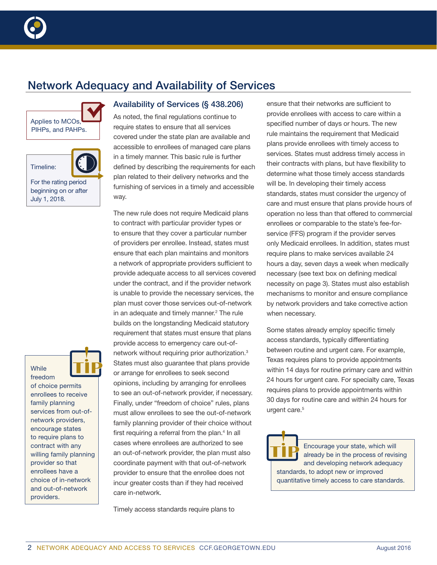

# Network Adequacy and Availability of Services





For the rating period beginning on or after July 1, 2018.



of choice permits enrollees to receive family planning services from out-ofnetwork providers, encourage states to require plans to contract with any willing family planning provider so that enrollees have a choice of in-network and out-of-network providers.

## Availability of Services (§ 438.206)

As noted, the final regulations continue to require states to ensure that all services covered under the state plan are available and accessible to enrollees of managed care plans in a timely manner. This basic rule is further defined by describing the requirements for each plan related to their delivery networks and the furnishing of services in a timely and accessible way.

The new rule does not require Medicaid plans to contract with particular provider types or to ensure that they cover a particular number of providers per enrollee. Instead, states must ensure that each plan maintains and monitors a network of appropriate providers sufficient to provide adequate access to all services covered under the contract, and if the provider network is unable to provide the necessary services, the plan must cover those services out-of-network in an adequate and timely manner.<sup>2</sup> The rule builds on the longstanding Medicaid statutory requirement that states must ensure that plans provide access to emergency care out-ofnetwork without requiring prior authorization.3 States must also guarantee that plans provide or arrange for enrollees to seek second opinions, including by arranging for enrollees to see an out-of-network provider, if necessary. Finally, under "freedom of choice" rules, plans must allow enrollees to see the out-of-network family planning provider of their choice without first requiring a referral from the plan.<sup>4</sup> In all cases where enrollees are authorized to see an out-of-network provider, the plan must also coordinate payment with that out-of-network provider to ensure that the enrollee does not incur greater costs than if they had received care in-network.

Timely access standards require plans to

ensure that their networks are sufficient to provide enrollees with access to care within a specified number of days or hours. The new rule maintains the requirement that Medicaid plans provide enrollees with timely access to services. States must address timely access in their contracts with plans, but have flexibility to determine what those timely access standards will be. In developing their timely access standards, states must consider the urgency of care and must ensure that plans provide hours of operation no less than that offered to commercial enrollees or comparable to the state's fee-forservice (FFS) program if the provider serves only Medicaid enrollees. In addition, states must require plans to make services available 24 hours a day, seven days a week when medically necessary (see text box on defining medical necessity on page 3). States must also establish mechanisms to monitor and ensure compliance by network providers and take corrective action when necessary.

Some states already employ specific timely access standards, typically differentiating between routine and urgent care. For example, Texas requires plans to provide appointments within 14 days for routine primary care and within 24 hours for urgent care. For specialty care, Texas requires plans to provide appointments within 30 days for routine care and within 24 hours for urgent care.<sup>5</sup>

Encourage your state, which will already be in the process of revising and developing network adequacy standards, to adopt new or improved quantitative timely access to care standards.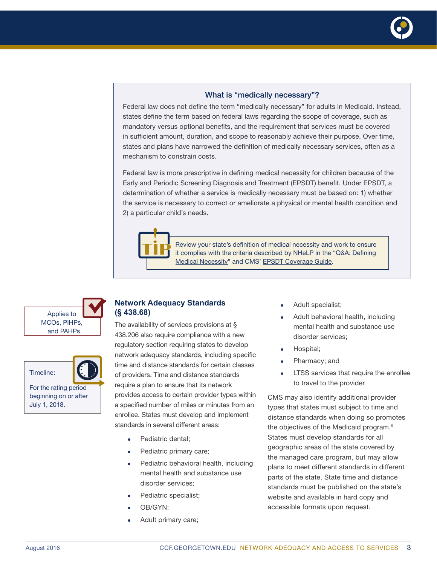

#### What is "medically necessary"?

Federal law does not define the term "medically necessary" for adults in Medicaid. Instead, states define the term based on federal laws regarding the scope of coverage, such as mandatory versus optional benefits, and the requirement that services must be covered in sufficient amount, duration, and scope to reasonably achieve their purpose. Over time, states and plans have narrowed the definition of medically necessary services, often as a mechanism to constrain costs.

Federal law is more prescriptive in defining medical necessity for children because of the Early and Periodic Screening Diagnosis and Treatment (EPSDT) benefit. Under EPSDT, a determination of whether a service is medically necessary must be based on: 1) whether the service is necessary to correct or ameliorate a physical or mental health condition and 2) a particular child's needs.



Review your state's definition of medical necessity and work to ensure it complies with the criteria described by NHeLP in the "Q&A: Defining [Medical Necessity](http://www.healthlaw.org/publications/qa-defining-medical-necessity)" and CMS' [EPSDT Coverage Guide.](https://www.medicaid.gov/Medicaid-CHIP-Program-Information/By-Topics/Benefits/Downloads/EPSDT_Coverage_Guide.pdf)

Applies to MCOs, PIHPs, and PAHPs.



For the rating period beginning on or after July 1, 2018.

#### **Network Adequacy Standards (§ 438.68)**

The availability of services provisions at § 438.206 also require compliance with a new regulatory section requiring states to develop network adequacy standards, including specific time and distance standards for certain classes of providers. Time and distance standards require a plan to ensure that its network provides access to certain provider types within a specified number of miles or minutes from an enrollee. States must develop and implement standards in several different areas:

- Pediatric dental:
- Pediatric primary care;
- Pediatric behavioral health, including mental health and substance use disorder services;
- Pediatric specialist;
- OB/GYN:
- Adult primary care;
- Adult specialist;
- Adult behavioral health, including mental health and substance use disorder services;
- Hospital;
- Pharmacy; and
- LTSS services that require the enrollee to travel to the provider.

CMS may also identify additional provider types that states must subject to time and distance standards when doing so promotes the objectives of the Medicaid program.<sup>6</sup> States must develop standards for all geographic areas of the state covered by the managed care program, but may allow plans to meet different standards in different parts of the state. State time and distance standards must be published on the state's website and available in hard copy and accessible formats upon request.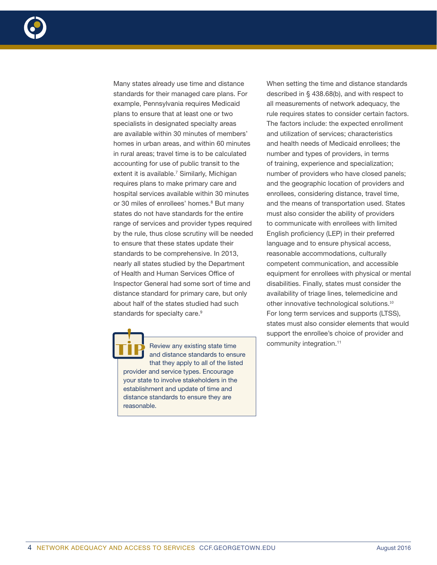

Many states already use time and distance standards for their managed care plans. For example, Pennsylvania requires Medicaid plans to ensure that at least one or two specialists in designated specialty areas are available within 30 minutes of members' homes in urban areas, and within 60 minutes in rural areas; travel time is to be calculated accounting for use of public transit to the extent it is available.<sup>7</sup> Similarly, Michigan requires plans to make primary care and hospital services available within 30 minutes or 30 miles of enrollees' homes.<sup>8</sup> But many states do not have standards for the entire range of services and provider types required by the rule, thus close scrutiny will be needed to ensure that these states update their standards to be comprehensive. In 2013, nearly all states studied by the Department of Health and Human Services Office of Inspector General had some sort of time and distance standard for primary care, but only about half of the states studied had such standards for specialty care.<sup>9</sup>

Review any existing state time and distance standards to ensure that they apply to all of the listed provider and service types. Encourage your state to involve stakeholders in the establishment and update of time and distance standards to ensure they are reasonable.

When setting the time and distance standards described in § 438.68(b), and with respect to all measurements of network adequacy, the rule requires states to consider certain factors. The factors include: the expected enrollment and utilization of services; characteristics and health needs of Medicaid enrollees; the number and types of providers, in terms of training, experience and specialization; number of providers who have closed panels; and the geographic location of providers and enrollees, considering distance, travel time, and the means of transportation used. States must also consider the ability of providers to communicate with enrollees with limited English proficiency (LEP) in their preferred language and to ensure physical access, reasonable accommodations, culturally competent communication, and accessible equipment for enrollees with physical or mental disabilities. Finally, states must consider the availability of triage lines, telemedicine and other innovative technological solutions.<sup>10</sup> For long term services and supports (LTSS), states must also consider elements that would support the enrollee's choice of provider and community integration.<sup>11</sup>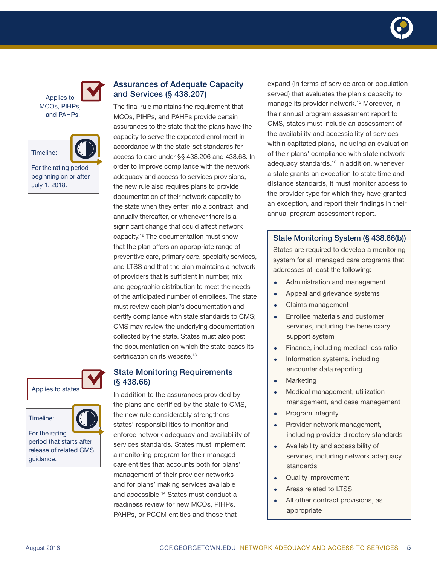



For the rating period beginning on or after July 1, 2018.







For the rating period that starts after release of related CMS guidance.

## Assurances of Adequate Capacity and Services (§ 438.207)

The final rule maintains the requirement that MCOs, PIHPs, and PAHPs provide certain assurances to the state that the plans have the capacity to serve the expected enrollment in accordance with the state-set standards for access to care under §§ 438.206 and 438.68. In order to improve compliance with the network adequacy and access to services provisions, the new rule also requires plans to provide documentation of their network capacity to the state when they enter into a contract, and annually thereafter, or whenever there is a significant change that could affect network capacity.12 The documentation must show that the plan offers an appropriate range of preventive care, primary care, specialty services, and LTSS and that the plan maintains a network of providers that is sufficient in number, mix, and geographic distribution to meet the needs of the anticipated number of enrollees. The state must review each plan's documentation and certify compliance with state standards to CMS; CMS may review the underlying documentation collected by the state. States must also post the documentation on which the state bases its certification on its website.<sup>13</sup>

#### State Monitoring Requirements (§ 438.66)

In addition to the assurances provided by the plans and certified by the state to CMS, the new rule considerably strengthens states' responsibilities to monitor and enforce network adequacy and availability of services standards. States must implement a monitoring program for their managed care entities that accounts both for plans' management of their provider networks and for plans' making services available and accessible.14 States must conduct a readiness review for new MCOs, PIHPs, PAHPs, or PCCM entities and those that

expand (in terms of service area or population served) that evaluates the plan's capacity to manage its provider network.<sup>15</sup> Moreover, in their annual program assessment report to CMS, states must include an assessment of the availability and accessibility of services within capitated plans, including an evaluation of their plans' compliance with state network adequacy standards.<sup>16</sup> In addition, whenever a state grants an exception to state time and distance standards, it must monitor access to the provider type for which they have granted an exception, and report their findings in their annual program assessment report.

## State Monitoring System (§ 438.66(b))

States are required to develop a monitoring system for all managed care programs that addresses at least the following:

- Administration and management
- Appeal and grievance systems
- Claims management
- Enrollee materials and customer services, including the beneficiary support system
- Finance, including medical loss ratio
- Information systems, including encounter data reporting
- Marketing
- Medical management, utilization management, and case management
- Program integrity
- Provider network management, including provider directory standards
- Availability and accessibility of services, including network adequacy standards
- Quality improvement
- Areas related to LTSS
- All other contract provisions, as appropriate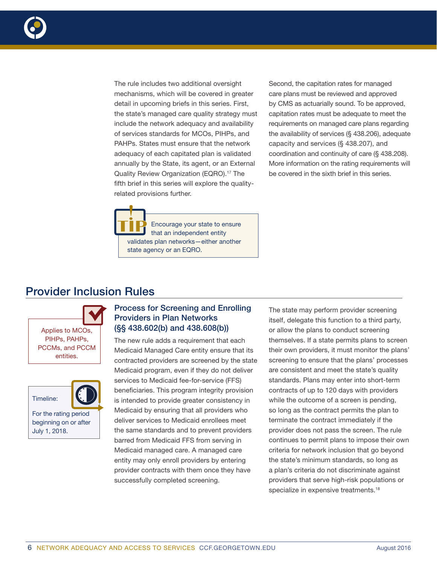

The rule includes two additional oversight mechanisms, which will be covered in greater detail in upcoming briefs in this series. First, the state's managed care quality strategy must include the network adequacy and availability of services standards for MCOs, PIHPs, and PAHPs. States must ensure that the network adequacy of each capitated plan is validated annually by the State, its agent, or an External Quality Review Organization (EQRO).<sup>17</sup> The fifth brief in this series will explore the qualityrelated provisions further.

Second, the capitation rates for managed care plans must be reviewed and approved by CMS as actuarially sound. To be approved, capitation rates must be adequate to meet the requirements on managed care plans regarding the availability of services (§ 438.206), adequate capacity and services (§ 438.207), and coordination and continuity of care (§ 438.208). More information on the rating requirements will be covered in the sixth brief in this series.

Encourage your state to ensure that an independent entity validates plan networks—either another state agency or an EQRO.

# Provider Inclusion Rules

Applies to MCOs, PIHPs, PAHPs, PCCMs, and PCCM entities.



For the rating period beginning on or after July 1, 2018.

## Process for Screening and Enrolling Providers in Plan Networks (§§ 438.602(b) and 438.608(b))

The new rule adds a requirement that each Medicaid Managed Care entity ensure that its contracted providers are screened by the state Medicaid program, even if they do not deliver services to Medicaid fee-for-service (FFS) beneficiaries. This program integrity provision is intended to provide greater consistency in Medicaid by ensuring that all providers who deliver services to Medicaid enrollees meet the same standards and to prevent providers barred from Medicaid FFS from serving in Medicaid managed care. A managed care entity may only enroll providers by entering provider contracts with them once they have successfully completed screening.

The state may perform provider screening itself, delegate this function to a third party, or allow the plans to conduct screening themselves. If a state permits plans to screen their own providers, it must monitor the plans' screening to ensure that the plans' processes are consistent and meet the state's quality standards. Plans may enter into short-term contracts of up to 120 days with providers while the outcome of a screen is pending, so long as the contract permits the plan to terminate the contract immediately if the provider does not pass the screen. The rule continues to permit plans to impose their own criteria for network inclusion that go beyond the state's minimum standards, so long as a plan's criteria do not discriminate against providers that serve high-risk populations or specialize in expensive treatments.<sup>18</sup>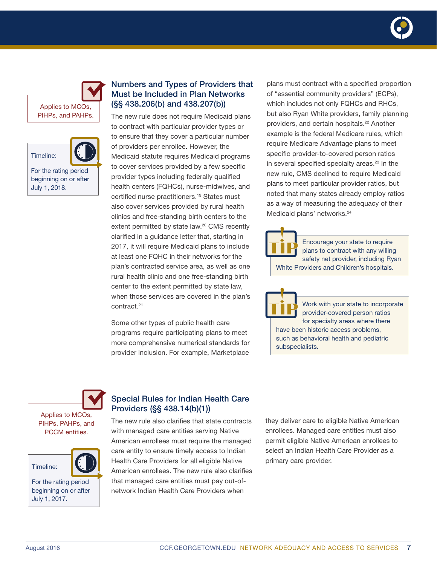





For the rating period beginning on or after July 1, 2018.

## Numbers and Types of Providers that Must be Included in Plan Networks (§§ 438.206(b) and 438.207(b))

The new rule does not require Medicaid plans to contract with particular provider types or to ensure that they cover a particular number of providers per enrollee. However, the Medicaid statute requires Medicaid programs to cover services provided by a few specific provider types including federally qualified health centers (FQHCs), nurse-midwives, and certified nurse practitioners.<sup>19</sup> States must also cover services provided by rural health clinics and free-standing birth centers to the extent permitted by state law.<sup>20</sup> CMS recently clarified in a guidance letter that, starting in 2017, it will require Medicaid plans to include at least one FQHC in their networks for the plan's contracted service area, as well as one rural health clinic and one free-standing birth center to the extent permitted by state law, when those services are covered in the plan's contract.21

Some other types of public health care programs require participating plans to meet more comprehensive numerical standards for provider inclusion. For example, Marketplace

plans must contract with a specified proportion of "essential community providers" (ECPs), which includes not only FQHCs and RHCs, but also Ryan White providers, family planning providers, and certain hospitals.<sup>22</sup> Another example is the federal Medicare rules, which require Medicare Advantage plans to meet specific provider-to-covered person ratios in several specified specialty areas. $23$  In the new rule, CMS declined to require Medicaid plans to meet particular provider ratios, but noted that many states already employ ratios as a way of measuring the adequacy of their Medicaid plans' networks.<sup>24</sup>

Encourage your state to require plans to contract with any willing safety net provider, including Ryan White Providers and Children's hospitals.

Work with your state to incorporate provider-covered person ratios for specialty areas where there have been historic access problems, such as behavioral health and pediatric subspecialists.

Applies to MCOs, PIHPs, PAHPs, and PCCM entities.





For the rating period beginning on or after July 1, 2017.

## Special Rules for Indian Health Care Providers (§§ 438.14(b)(1))

The new rule also clarifies that state contracts with managed care entities serving Native American enrollees must require the managed care entity to ensure timely access to Indian Health Care Providers for all eligible Native American enrollees. The new rule also clarifies that managed care entities must pay out-ofnetwork Indian Health Care Providers when

they deliver care to eligible Native American enrollees. Managed care entities must also permit eligible Native American enrollees to select an Indian Health Care Provider as a primary care provider.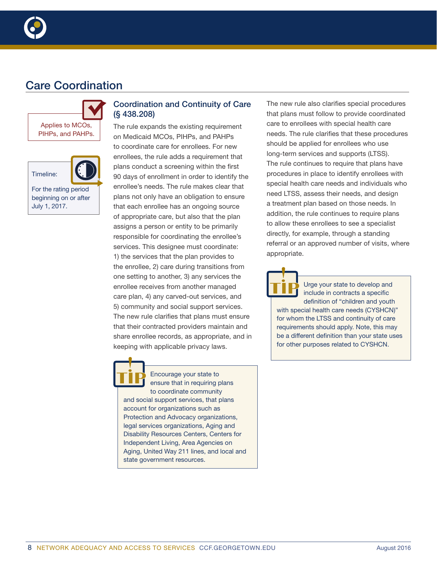

# Care Coordination





For the rating period beginning on or after July 1, 2017.

## Coordination and Continuity of Care (§ 438.208)

The rule expands the existing requirement on Medicaid MCOs, PIHPs, and PAHPs to coordinate care for enrollees. For new enrollees, the rule adds a requirement that plans conduct a screening within the first 90 days of enrollment in order to identify the enrollee's needs. The rule makes clear that plans not only have an obligation to ensure that each enrollee has an ongoing source of appropriate care, but also that the plan assigns a person or entity to be primarily responsible for coordinating the enrollee's services. This designee must coordinate: 1) the services that the plan provides to the enrollee, 2) care during transitions from one setting to another, 3) any services the enrollee receives from another managed care plan, 4) any carved-out services, and 5) community and social support services. The new rule clarifies that plans must ensure that their contracted providers maintain and share enrollee records, as appropriate, and in keeping with applicable privacy laws.

Encourage your state to ensure that in requiring plans to coordinate community and social support services, that plans account for organizations such as Protection and Advocacy organizations, legal services organizations, Aging and Disability Resources Centers, Centers for Independent Living, Area Agencies on Aging, United Way 211 lines, and local and state government resources.

The new rule also clarifies special procedures that plans must follow to provide coordinated care to enrollees with special health care needs. The rule clarifies that these procedures should be applied for enrollees who use long-term services and supports (LTSS). The rule continues to require that plans have procedures in place to identify enrollees with special health care needs and individuals who need LTSS, assess their needs, and design a treatment plan based on those needs. In addition, the rule continues to require plans to allow these enrollees to see a specialist directly, for example, through a standing referral or an approved number of visits, where appropriate.

Urge your state to develop and include in contracts a specific definition of "children and youth with special health care needs (CYSHCN)" for whom the LTSS and continuity of care requirements should apply. Note, this may be a different definition than your state uses for other purposes related to CYSHCN.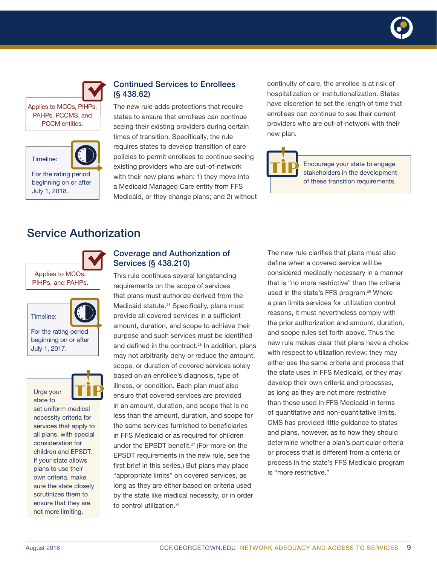



Applies to MCOs, PIHPs, PAHPs, PCCMS, and PCCM entities.



For the rating period beginning on or after July 1, 2018.

## Continued Services to Enrollees (§ 438.62)

The new rule adds protections that require states to ensure that enrollees can continue seeing their existing providers during certain times of transition. Specifically, the rule requires states to develop transition of care policies to permit enrollees to continue seeing existing providers who are out-of-network with their new plans when: 1) they move into a Medicaid Managed Care entity from FFS Medicaid, or they change plans; and 2) without

continuity of care, the enrollee is at risk of hospitalization or institutionalization. States have discretion to set the length of time that enrollees can continue to see their current providers who are out-of-network with their new plan.



Encourage your state to engage stakeholders in the development of these transition requirements.

# Service Authorization



## Coverage and Authorization of Services (§ 438.210)

This rule continues several longstanding requirements on the scope of services that plans must authorize derived from the Medicaid statute.<sup>25</sup> Specifically, plans must provide all covered services in a sufficient amount, duration, and scope to achieve their purpose and such services must be identified and defined in the contract.<sup>26</sup> In addition, plans may not arbitrarily deny or reduce the amount, scope, or duration of covered services solely based on an enrollee's diagnosis, type of illness, or condition. Each plan must also ensure that covered services are provided in an amount, duration, and scope that is no less than the amount, duration, and scope for the same services furnished to beneficiaries in FFS Medicaid or as required for children under the EPSDT benefit.<sup>27</sup> (For more on the EPSDT requirements in the new rule, see the first brief in this series.) But plans may place "appropriate limits" on covered services, as long as they are either based on criteria used by the state like medical necessity, or in order to control utilization.<sup>28</sup>

The new rule clarifies that plans must also define when a covered service will be considered medically necessary in a manner that is "no more restrictive" than the criteria used in the state's FFS program.<sup>29</sup> Where a plan limits services for utilization control reasons, it must nevertheless comply with the prior authorization and amount, duration, and scope rules set forth above. Thus the new rule makes clear that plans have a choice with respect to utilization review: they may either use the same criteria and process that the state uses in FFS Medicaid, or they may develop their own criteria and processes, as long as they are not more restrictive than those used in FFS Medicaid in terms of quantitative and non-quantitative limits. CMS has provided little guidance to states and plans, however, as to how they should determine whether a plan's particular criteria or process that is different from a criteria or process in the state's FFS Medicaid program is "more restrictive."

sure the state closely scrutinizes them to ensure that they are not more limiting.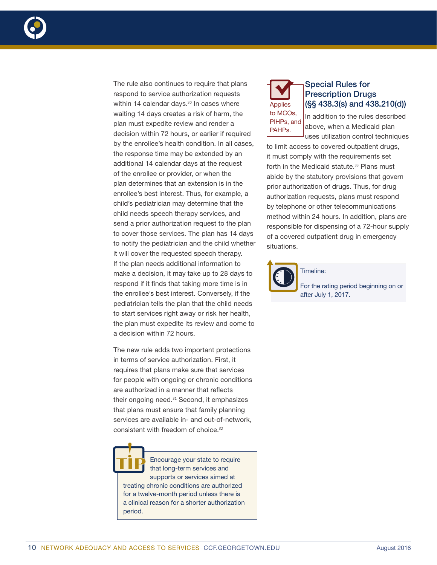

The rule also continues to require that plans respond to service authorization requests within 14 calendar days.<sup>30</sup> In cases where waiting 14 days creates a risk of harm, the plan must expedite review and render a decision within 72 hours, or earlier if required by the enrollee's health condition. In all cases, the response time may be extended by an additional 14 calendar days at the request of the enrollee or provider, or when the plan determines that an extension is in the enrollee's best interest. Thus, for example, a child's pediatrician may determine that the child needs speech therapy services, and send a prior authorization request to the plan to cover those services. The plan has 14 days to notify the pediatrician and the child whether it will cover the requested speech therapy. If the plan needs additional information to make a decision, it may take up to 28 days to respond if it finds that taking more time is in the enrollee's best interest. Conversely, if the pediatrician tells the plan that the child needs to start services right away or risk her health, the plan must expedite its review and come to a decision within 72 hours.

The new rule adds two important protections in terms of service authorization. First, it requires that plans make sure that services for people with ongoing or chronic conditions are authorized in a manner that reflects their ongoing need.<sup>31</sup> Second, it emphasizes that plans must ensure that family planning services are available in- and out-of-network, consistent with freedom of choice.*<sup>32</sup>*



Encourage your state to require that long-term services and supports or services aimed at treating chronic conditions are authorized for a twelve-month period unless there is a clinical reason for a shorter authorization period.



## Special Rules for Prescription Drugs (§§ 438.3(s) and 438.210(d))

In addition to the rules described above, when a Medicaid plan uses utilization control techniques

to limit access to covered outpatient drugs, it must comply with the requirements set forth in the Medicaid statute.<sup>33</sup> Plans must abide by the statutory provisions that govern prior authorization of drugs. Thus, for drug authorization requests, plans must respond by telephone or other telecommunications method within 24 hours. In addition, plans are responsible for dispensing of a 72-hour supply of a covered outpatient drug in emergency situations.

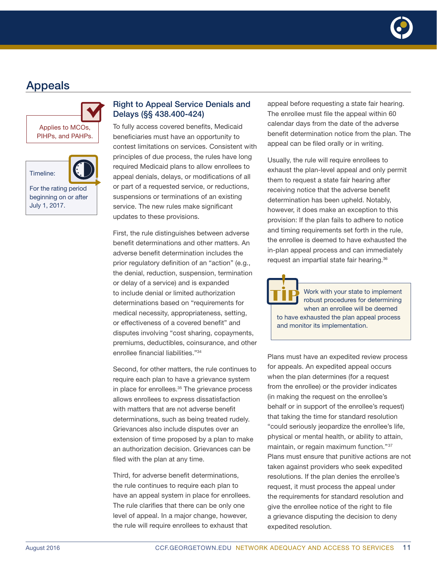

# Appeals





Timeline:

For the rating period beginning on or after July 1, 2017.

## Right to Appeal Service Denials and Delays (§§ 438.400-424)

To fully access covered benefits, Medicaid beneficiaries must have an opportunity to contest limitations on services. Consistent with principles of due process, the rules have long required Medicaid plans to allow enrollees to appeal denials, delays, or modifications of all or part of a requested service, or reductions, suspensions or terminations of an existing service. The new rules make significant updates to these provisions.

First, the rule distinguishes between adverse benefit determinations and other matters. An adverse benefit determination includes the prior regulatory definition of an "action" (e.g., the denial, reduction, suspension, termination or delay of a service) and is expanded to include denial or limited authorization determinations based on "requirements for medical necessity, appropriateness, setting, or effectiveness of a covered benefit" and disputes involving "cost sharing, copayments, premiums, deductibles, coinsurance, and other enrollee financial liabilities."34

Second, for other matters, the rule continues to require each plan to have a grievance system in place for enrollees.<sup>35</sup> The grievance process allows enrollees to express dissatisfaction with matters that are not adverse benefit determinations, such as being treated rudely. Grievances also include disputes over an extension of time proposed by a plan to make an authorization decision. Grievances can be filed with the plan at any time.

Third, for adverse benefit determinations, the rule continues to require each plan to have an appeal system in place for enrollees. The rule clarifies that there can be only one level of appeal. In a major change, however, the rule will require enrollees to exhaust that

appeal before requesting a state fair hearing. The enrollee must file the appeal within 60 calendar days from the date of the adverse benefit determination notice from the plan. The appeal can be filed orally or in writing.

Usually, the rule will require enrollees to exhaust the plan-level appeal and only permit them to request a state fair hearing after receiving notice that the adverse benefit determination has been upheld. Notably, however, it does make an exception to this provision: If the plan fails to adhere to notice and timing requirements set forth in the rule, the enrollee is deemed to have exhausted the in-plan appeal process and can immediately request an impartial state fair hearing.<sup>36</sup>

Work with your state to implement robust procedures for determining when an enrollee will be deemed to have exhausted the plan appeal process and monitor its implementation.

Plans must have an expedited review process for appeals. An expedited appeal occurs when the plan determines (for a request from the enrollee) or the provider indicates (in making the request on the enrollee's behalf or in support of the enrollee's request) that taking the time for standard resolution "could seriously jeopardize the enrollee's life, physical or mental health, or ability to attain, maintain, or regain maximum function."37 Plans must ensure that punitive actions are not taken against providers who seek expedited resolutions. If the plan denies the enrollee's request, it must process the appeal under the requirements for standard resolution and give the enrollee notice of the right to file a grievance disputing the decision to deny expedited resolution.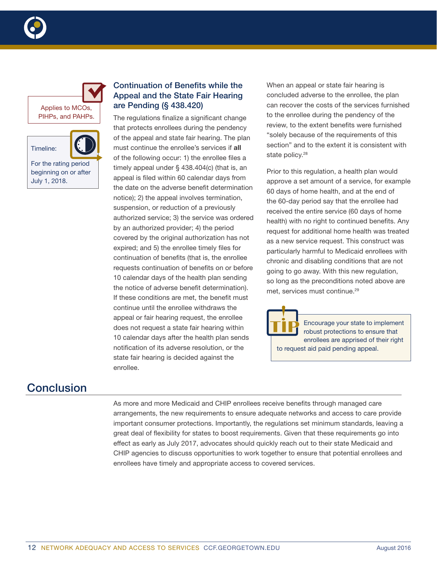



## Continuation of Benefits while the Appeal and the State Fair Hearing are Pending (§ 438.420)

The regulations finalize a significant change that protects enrollees during the pendency of the appeal and state fair hearing. The plan must continue the enrollee's services if all of the following occur: 1) the enrollee files a timely appeal under § 438.404(c) (that is, an appeal is filed within 60 calendar days from the date on the adverse benefit determination notice); 2) the appeal involves termination, suspension, or reduction of a previously authorized service; 3) the service was ordered by an authorized provider; 4) the period covered by the original authorization has not expired; and 5) the enrollee timely files for continuation of benefits (that is, the enrollee requests continuation of benefits on or before 10 calendar days of the health plan sending the notice of adverse benefit determination). If these conditions are met, the benefit must continue until the enrollee withdraws the appeal or fair hearing request, the enrollee does not request a state fair hearing within 10 calendar days after the health plan sends notification of its adverse resolution, or the state fair hearing is decided against the enrollee.

When an appeal or state fair hearing is concluded adverse to the enrollee, the plan can recover the costs of the services furnished to the enrollee during the pendency of the review, to the extent benefits were furnished "solely because of the requirements of this section" and to the extent it is consistent with state policy.<sup>28</sup>

Prior to this regulation, a health plan would approve a set amount of a service, for example 60 days of home health, and at the end of the 60-day period say that the enrollee had received the entire service (60 days of home health) with no right to continued benefits. Any request for additional home health was treated as a new service request. This construct was particularly harmful to Medicaid enrollees with chronic and disabling conditions that are not going to go away. With this new regulation, so long as the preconditions noted above are met, services must continue.<sup>29</sup>



Encourage your state to implement robust protections to ensure that enrollees are apprised of their right to request aid paid pending appeal.

# **Conclusion**

As more and more Medicaid and CHIP enrollees receive benefits through managed care arrangements, the new requirements to ensure adequate networks and access to care provide important consumer protections. Importantly, the regulations set minimum standards, leaving a great deal of flexibility for states to boost requirements. Given that these requirements go into effect as early as July 2017, advocates should quickly reach out to their state Medicaid and CHIP agencies to discuss opportunities to work together to ensure that potential enrollees and enrollees have timely and appropriate access to covered services.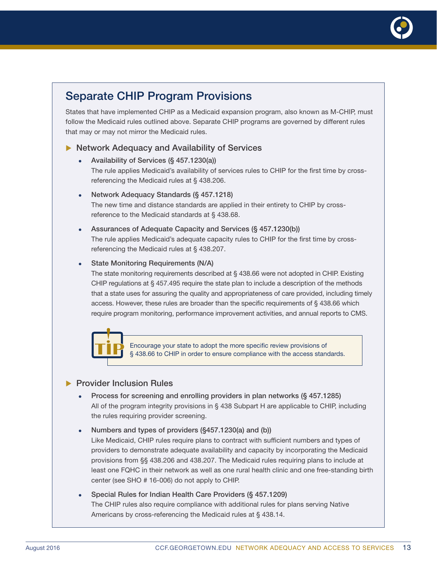

# Separate CHIP Program Provisions

States that have implemented CHIP as a Medicaid expansion program, also known as M-CHIP, must follow the Medicaid rules outlined above. Separate CHIP programs are governed by different rules that may or may not mirror the Medicaid rules.

#### $\blacktriangleright$  Network Adequacy and Availability of Services

- Availability of Services (§ 457.1230(a)) The rule applies Medicaid's availability of services rules to CHIP for the first time by crossreferencing the Medicaid rules at § 438.206.
- <sup>z</sup> Network Adequacy Standards (§ 457.1218) The new time and distance standards are applied in their entirety to CHIP by crossreference to the Medicaid standards at § 438.68.
- Assurances of Adequate Capacity and Services (§ 457.1230(b)) The rule applies Medicaid's adequate capacity rules to CHIP for the first time by crossreferencing the Medicaid rules at § 438.207.

#### State Monitoring Requirements (N/A)

The state monitoring requirements described at § 438.66 were not adopted in CHIP. Existing CHIP regulations at § 457.495 require the state plan to include a description of the methods that a state uses for assuring the quality and appropriateness of care provided, including timely access. However, these rules are broader than the specific requirements of § 438.66 which require program monitoring, performance improvement activities, and annual reports to CMS.



Encourage your state to adopt the more specific review provisions of § 438.66 to CHIP in order to ensure compliance with the access standards.

#### **> Provider Inclusion Rules**

- Process for screening and enrolling providers in plan networks (§ 457.1285) All of the program integrity provisions in § 438 Subpart H are applicable to CHIP, including the rules requiring provider screening.
- Numbers and types of providers (§457.1230(a) and (b)) Like Medicaid, CHIP rules require plans to contract with sufficient numbers and types of providers to demonstrate adequate availability and capacity by incorporating the Medicaid provisions from §§ 438.206 and 438.207. The Medicaid rules requiring plans to include at least one FQHC in their network as well as one rural health clinic and one free-standing birth center (see SHO # 16-006) do not apply to CHIP.
- Special Rules for Indian Health Care Providers (§ 457.1209) The CHIP rules also require compliance with additional rules for plans serving Native Americans by cross-referencing the Medicaid rules at § 438.14.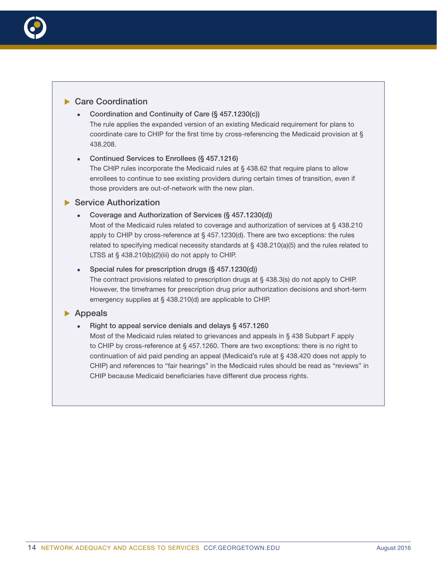

#### $\blacktriangleright$  Care Coordination

• Coordination and Continuity of Care (§ 457.1230(c))

The rule applies the expanded version of an existing Medicaid requirement for plans to coordinate care to CHIP for the first time by cross-referencing the Medicaid provision at § 438.208.

#### Continued Services to Enrollees (§ 457.1216)

The CHIP rules incorporate the Medicaid rules at § 438.62 that require plans to allow enrollees to continue to see existing providers during certain times of transition, even if those providers are out-of-network with the new plan.

#### $\blacktriangleright$  Service Authorization

• Coverage and Authorization of Services (§ 457.1230(d))

Most of the Medicaid rules related to coverage and authorization of services at § 438.210 apply to CHIP by cross-reference at § 457.1230(d). There are two exceptions: the rules related to specifying medical necessity standards at  $\S$  438.210(a)(5) and the rules related to LTSS at § 438.210(b)(2)(iii) do not apply to CHIP.

#### Special rules for prescription drugs  $(S$  457.1230(d))

The contract provisions related to prescription drugs at § 438.3(s) do not apply to CHIP. However, the timeframes for prescription drug prior authorization decisions and short-term emergency supplies at § 438.210(d) are applicable to CHIP.

#### $\blacktriangleright$  Appeals

#### Right to appeal service denials and delays § 457.1260

Most of the Medicaid rules related to grievances and appeals in § 438 Subpart F apply to CHIP by cross-reference at § 457.1260. There are two exceptions: there is no right to continuation of aid paid pending an appeal (Medicaid's rule at § 438.420 does not apply to CHIP) and references to "fair hearings" in the Medicaid rules should be read as "reviews" in CHIP because Medicaid beneficiaries have different due process rights.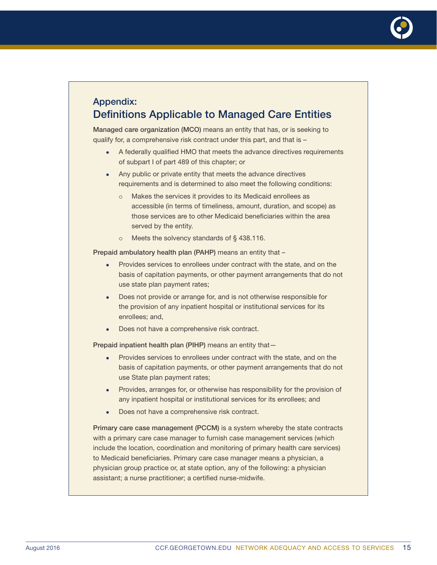

## Appendix: Definitions Applicable to Managed Care Entities

Managed care organization (MCO) means an entity that has, or is seeking to qualify for, a comprehensive risk contract under this part, and that is –

- A federally qualified HMO that meets the advance directives requirements of subpart I of part 489 of this chapter; or
- Any public or private entity that meets the advance directives requirements and is determined to also meet the following conditions:
	- o Makes the services it provides to its Medicaid enrollees as accessible (in terms of timeliness, amount, duration, and scope) as those services are to other Medicaid beneficiaries within the area served by the entity.
	- $\circ$  Meets the solvency standards of § 438.116.

Prepaid ambulatory health plan (PAHP) means an entity that –

- Provides services to enrollees under contract with the state, and on the basis of capitation payments, or other payment arrangements that do not use state plan payment rates;
- Does not provide or arrange for, and is not otherwise responsible for the provision of any inpatient hospital or institutional services for its enrollees; and,
- Does not have a comprehensive risk contract.

Prepaid inpatient health plan (PIHP) means an entity that—

- Provides services to enrollees under contract with the state, and on the basis of capitation payments, or other payment arrangements that do not use State plan payment rates;
- Provides, arranges for, or otherwise has responsibility for the provision of any inpatient hospital or institutional services for its enrollees; and
- Does not have a comprehensive risk contract.

Primary care case management (PCCM) is a system whereby the state contracts with a primary care case manager to furnish case management services (which include the location, coordination and monitoring of primary health care services) to Medicaid beneficiaries. Primary care case manager means a physician, a physician group practice or, at state option, any of the following: a physician assistant; a nurse practitioner; a certified nurse-midwife.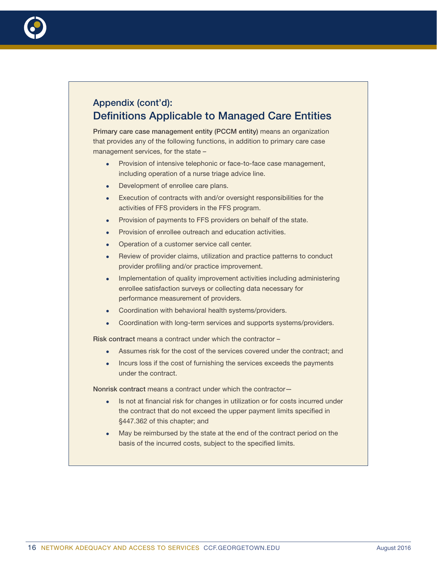

# Appendix (cont'd): Definitions Applicable to Managed Care Entities

Primary care case management entity (PCCM entity) means an organization that provides any of the following functions, in addition to primary care case management services, for the state –

- Provision of intensive telephonic or face-to-face case management, including operation of a nurse triage advice line.
- Development of enrollee care plans.
- Execution of contracts with and/or oversight responsibilities for the activities of FFS providers in the FFS program.
- Provision of payments to FFS providers on behalf of the state.
- Provision of enrollee outreach and education activities.
- Operation of a customer service call center.
- Review of provider claims, utilization and practice patterns to conduct provider profiling and/or practice improvement.
- Implementation of quality improvement activities including administering enrollee satisfaction surveys or collecting data necessary for performance measurement of providers.
- Coordination with behavioral health systems/providers.
- Coordination with long-term services and supports systems/providers.

Risk contract means a contract under which the contractor –

- Assumes risk for the cost of the services covered under the contract; and
- Incurs loss if the cost of furnishing the services exceeds the payments under the contract.

Nonrisk contract means a contract under which the contractor—

- Is not at financial risk for changes in utilization or for costs incurred under the contract that do not exceed the upper payment limits specified in §447.362 of this chapter; and
- May be reimbursed by the state at the end of the contract period on the basis of the incurred costs, subject to the specified limits.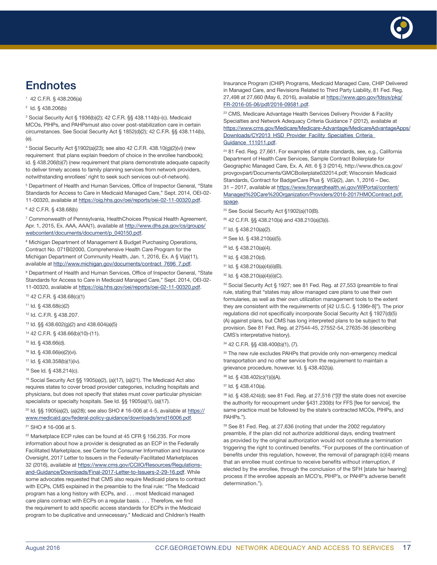

# **Endnotes**

1 42 C.F.R. § 438.206(a)

#### <sup>2</sup> Id. § 438.206(b)

3 Social Security Act § 1936(b)(2); 42 C.F.R. §§ 438.114(b)-(c). Medicaid MCOs, PIHPs, and PAHPsmust also cover post-stabilization care in certain circumstances. See Social Security Act § 1852(d)(2); 42 C.F.R. §§ 438.114(b), (e).

4 Social Security Act §1902(a)(23); see also 42 C.F.R. 438.10(g)(2)(vi) (new requirement that plans explain freedom of choice in the enrollee handbook); id. § 438.206(b)(7) (new requirement that plans demonstrate adequate capacity to deliver timely access to family planning services from network providers, notwithstanding enrollees' right to seek such services out-of-network).

<sup>5</sup> Department of Health and Human Services, Office of Inspector General, "State Standards for Access to Care in Medicaid Managed Care," Sept. 2014, OEI-02- 11-00320, available at<https://oig.hhs.gov/oei/reports/oei-02-11-00320.pdf>.

6 42 C.F.R. § 438.68(b)

<sup>7</sup> Commonwealth of Pennsylvania, HealthChoices Physical Health Agreement, Apr. 1, 2015, Ex. AAA, AAA(1), available at [http://www.dhs.pa.gov/cs/groups/](http://www.dhs.pa.gov/cs/groups/webcontent/documents/document/p_040150.pdf) [webcontent/documents/document/p\\_040150.pdf.](http://www.dhs.pa.gov/cs/groups/webcontent/documents/document/p_040150.pdf)

<sup>8</sup> Michigan Department of Management & Budget Purchasing Operations, Contract No. 071B02000, Comprehensive Health Care Program for the Michigan Department of Community Health, Jan. 1, 2016, Ex. A § V(a)(11), available at [http://www.michigan.gov/documents/contract\\_7696\\_7.pdf.](http://www.michigan.gov/documents/contract_7696_7.pdf)

<sup>9</sup> Department of Health and Human Services, Office of Inspector General, "State Standards for Access to Care in Medicaid Managed Care," Sept. 2014, OEI-02- 11-00320, available at<https://oig.hhs.gov/oei/reports/oei-02-11-00320.pdf>.

10 42 C.F.R. § 438.68(c)(1)

11 Id. § 438.68(c)(2)

12 Id. C.F.R. § 438.207.

13 Id. §§ 438.602(g)(2) and 438.604(a)(5)

- 14 42 C.F.R. § 438.66(b)(10)-(11).
- 15 Id. § 438.66(d).
- 16 Id. § 438.66(e)(2)(vi).
- 17 Id. § 438.358(b)(1)(iv).
- 18 See Id. § 438.214(c).

19 Social Security Act §§ 1905(a)(2), (a)(17), (a)(21). The Medicaid Act also requires states to cover broad provider categories, including hospitals and physicians, but does not specify that states must cover particular physician specialists or specialty hospitals. See Id. §§ 1905(a)(1), (a)(17).

20 Id. §§ 1905(a)(2), (a)(28); see also SHO # 16-006 at 4-5, available at [https://](https://www.medicaid.gov/federal-policy-guidance/downloads/smd16006.pdf) [www.medicaid.gov/federal-policy-guidance/downloads/smd16006.pdf.](https://www.medicaid.gov/federal-policy-guidance/downloads/smd16006.pdf)

21 SHO # 16-006 at 5.

<sup>22</sup> Marketplace ECP rules can be found at 45 CFR § 156.235. For more information about how a provider is designated as an ECP in the Federally Facilitated Marketplace, see Center for Consumer Information and Insurance Oversight, 2017 Letter to Issuers in the Federally-Facilitated Marketplaces 32 (2016), available at [https://www.cms.gov/CCIIO/Resources/Regulations](https://www.cms.gov/CCIIO/Resources/Regulations-and-Guidance/Downloads/Final-2017-Letter-to-Issuers-2-29-16.pdf)[and-Guidance/Downloads/Final-2017-Letter-to-Issuers-2-29-16.pdf](https://www.cms.gov/CCIIO/Resources/Regulations-and-Guidance/Downloads/Final-2017-Letter-to-Issuers-2-29-16.pdf). While some advocates requested that CMS also require Medicaid plans to contract with ECPs, CMS explained in the preamble to the final rule: "The Medicaid program has a long history with ECPs, and . . . most Medicaid managed care plans contract with ECPs on a regular basis. . . . Therefore, we find the requirement to add specific access standards for ECPs in the Medicaid program to be duplicative and unnecessary." Medicaid and Children's Health

Insurance Program (CHIP) Programs, Medicaid Managed Care, CHIP Delivered in Managed Care, and Revisions Related to Third Party Liability, 81 Fed. Reg. 27,498 at 27,660 (May 6, 2016), available at [https://www.gpo.gov/fdsys/pkg/](https://www.gpo.gov/fdsys/pkg/FR-2016-05-06/pdf/2016-09581.pdf) [FR-2016-05-06/pdf/2016-09581.pdf](https://www.gpo.gov/fdsys/pkg/FR-2016-05-06/pdf/2016-09581.pdf).

<sup>23</sup> CMS, Medicare Advantage Health Services Delivery Provider & Facility Specialties and Network Adequacy Criteria Guidance 7 (2012), available at [https://www.cms.gov/Medicare/Medicare-Advantage/MedicareAdvantageApps/](https://www.cms.gov/Medicare/Medicare-Advantage/MedicareAdvantageApps/Downloads/CY2013_HSD_Provider_Facility_Specialties_Criteria_Guidance_111011.pdf) Downloads/CY2013\_HSD\_Provider\_Facility\_Specialties\_Criteria [Guidance\\_111011.pdf.](https://www.cms.gov/Medicare/Medicare-Advantage/MedicareAdvantageApps/Downloads/CY2013_HSD_Provider_Facility_Specialties_Criteria_Guidance_111011.pdf)

<sup>24</sup> 81 Fed. Reg. 27,661. For examples of state standards, see, e.g., California Department of Health Care Services, Sample Contract Boilerplate for Geographic Managed Care, Ex. A, Att. 6 § 3 (2014), http://www.dhcs.ca.gov/ provgovpart/Documents/GMCBoilerplate032014.pdf; Wisconsin Medicaid Standards, Contract for BadgerCare Plus § V(G)(2), Jan. 1, 2016 – Dec. 31 – 2017, available at [https://www.forwardhealth.wi.gov/WIPortal/content/](https://www.forwardhealth.wi.gov/WIPortal/content/Managed%20Care%20Organization/Providers/2016-2017HMOContract.pdf.spage) [Managed%20Care%20Organization/Providers/2016-2017HMOContract.pdf.](https://www.forwardhealth.wi.gov/WIPortal/content/Managed%20Care%20Organization/Providers/2016-2017HMOContract.pdf.spage) [spage](https://www.forwardhealth.wi.gov/WIPortal/content/Managed%20Care%20Organization/Providers/2016-2017HMOContract.pdf.spage).

<sup>25</sup> See Social Security Act §1902(a)(10(B).

- 26 42 C.F.R. §§ 438.210(a) and 438.210(a)(3)(i).
- 27 Id. § 438.210(a)(2).
- 28 See Id. § 438.210(a)(5).
- 29 Id. § 438.210(a)(4).
- 30 Id. § 438.210(d).
- 31 Id. § 438.210(a)(4)(ii)(B).
- 32 Id. § 438.210(a)(4)(ii)(C).

<sup>33</sup> Social Security Act § 1927; see 81 Fed. Reg. at 27,553 (preamble to final rule, stating that "states may allow managed care plans to use their own formularies, as well as their own utilization management tools to the extent they are consistent with the requirements of [42 U.S.C. § 1396r-8]"). The prior regulations did not specifically incorporate Social Security Act § 1927(d)(5) (A) against plans, but CMS has long interpreted plans to be subject to that provision. See 81 Fed. Reg. at 27544-45, 27552-54, 27635-36 (describing CMS's interpretative history).

34 42 C.F.R. §§ 438.400(b)(1), (7).

<sup>35</sup> The new rule excludes PAHPs that provide only non-emergency medical transportation and no other service from the requirement to maintain a grievance procedure, however. Id. § 438.402(a).

- 36 Id. § 438.402(c)(1)(i)(A).
- 37 Id. § 438.410(a).

38 Id. § 438.424(d); see 81 Fed. Reg. at 27,516 ("[I]f the state does not exercise the authority for recoupment under §431.230(b) for FFS [fee for service], the same practice must be followed by the state's contracted MCOs, PIHPs, and PAHPs.").

<sup>39</sup> See 81 Fed. Reg. at 27,636 (noting that under the 2002 regulatory preamble, if the plan did not authorize additional days, ending treatment as provided by the original authorization would not constitute a termination triggering the right to continued benefits. "For purposes of the continuation of benefits under this regulation, however, the removal of paragraph (c)(4) means that an enrollee must continue to receive benefits without interruption, if elected by the enrollee, through the conclusion of the SFH [state fair hearing] process if the enrollee appeals an MCO's, PIHP's, or PAHP's adverse benefit determination.").